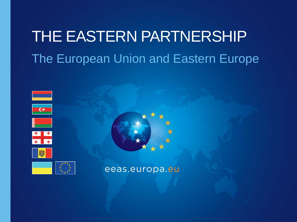# THE EASTERN PARTNERSHIP The European Union and Eastern Europe





eeas.europa.eu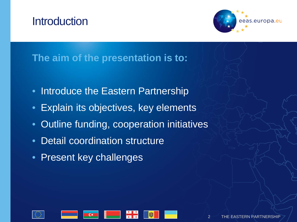### **Introduction**



#### **The aim of the presentation is to:**

- Introduce the Eastern Partnership
- Explain its objectives, key elements
- Outline funding, cooperation initiatives
- Detail coordination structure
- Present key challenges

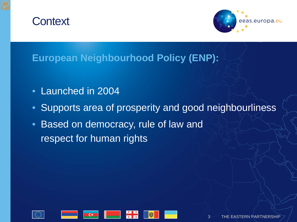### **Context**



### **European Neighbourhood Policy (ENP):**

- Launched in 2004
- Supports area of prosperity and good neighbourliness
- Based on democracy, rule of law and respect for human rights

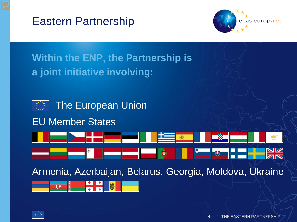



### **Within the ENP, the Partnership is a joint initiative involving:**



#### EU Member States



Armenia, Azerbaijan, Belarus, Georgia, Moldova, Ukraine



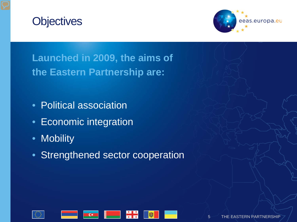



**Launched in 2009, the aims of the Eastern Partnership are:**

- Political association
- Economic integration
- Mobility
- Strengthened sector cooperation

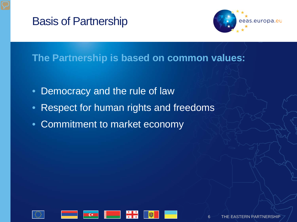



#### **The Partnership is based on common values:**

- Democracy and the rule of law
- Respect for human rights and freedoms
- Commitment to market economy

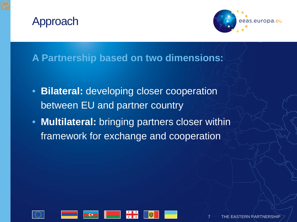



#### **A Partnership based on two dimensions:**

- **Bilateral:** developing closer cooperation between EU and partner country
- **Multilateral:** bringing partners closer within framework for exchange and cooperation

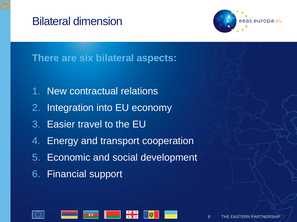### Bilateral dimension



### **There are six bilateral aspects:**

- 1. New contractual relations
- 2. Integration into EU economy
- 3. Easier travel to the EU
- 4. Energy and transport cooperation
- 5. Economic and social development
- 6. Financial support

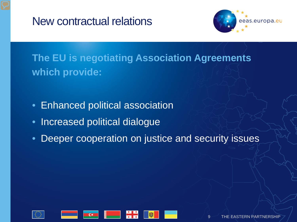New contractual relations



### **The EU is negotiating Association Agreements which provide:**

- Enhanced political association
- Increased political dialogue
- Deeper cooperation on justice and security issues

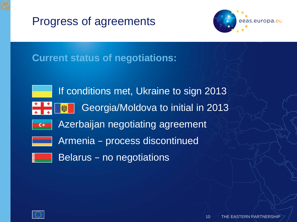



#### **Current status of negotiations:**



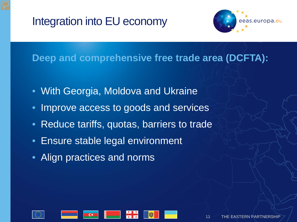### Integration into EU economy



#### **Deep and comprehensive free trade area (DCFTA):**

- With Georgia, Moldova and Ukraine
- Improve access to goods and services
- Reduce tariffs, quotas, barriers to trade
- Ensure stable legal environment
- Align practices and norms

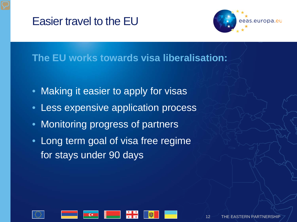### Easier travel to the EU



#### **The EU works towards visa liberalisation:**

- Making it easier to apply for visas
- Less expensive application process
- Monitoring progress of partners
- Long term goal of visa free regime for stays under 90 days

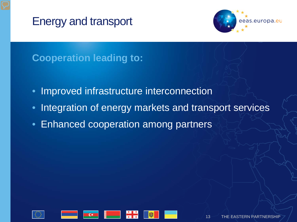Energy and transport



### **Cooperation leading to:**

- Improved infrastructure interconnection
- Integration of energy markets and transport services
- Enhanced cooperation among partners

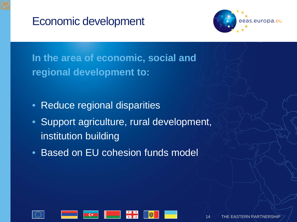



**In the area of economic, social and regional development to:**

- Reduce regional disparities
- Support agriculture, rural development, institution building
- Based on EU cohesion funds model

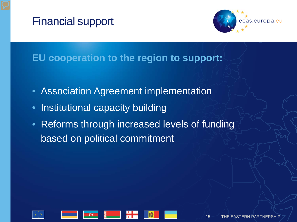### Financial support



#### **EU cooperation to the region to support:**

- Association Agreement implementation
- Institutional capacity building
- Reforms through increased levels of funding based on political commitment

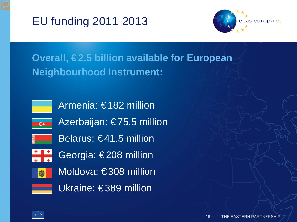



### **Overall, €2.5 billion available for European Neighbourhood Instrument:**



Armenia: € 182 million





Belarus: €41.5 million



Georgia: €208 million



Moldova: €308 million



Ukraine: €389 million

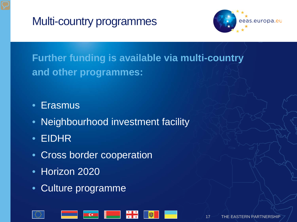Multi-country programmes



**Further funding is available via multi-country and other programmes:**

- Erasmus
- Neighbourhood investment facility
- EIDHR
- Cross border cooperation
- Horizon 2020
- Culture programme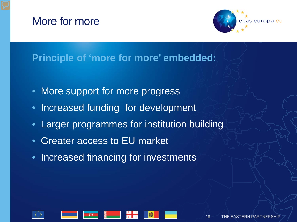### More for more



#### **Principle of 'more for more' embedded:**

- More support for more progress
- Increased funding for development
- Larger programmes for institution building
- Greater access to EU market
- Increased financing for investments

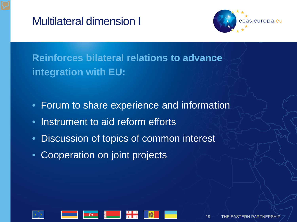### Multilateral dimension I



**Reinforces bilateral relations to advance integration with EU:**

- Forum to share experience and information
- Instrument to aid reform efforts
- Discussion of topics of common interest
- Cooperation on joint projects

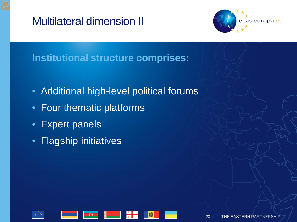### Multilateral dimension II



#### **Institutional structure comprises:**

- Additional high-level political forums
- Four thematic platforms
- Expert panels
- Flagship initiatives

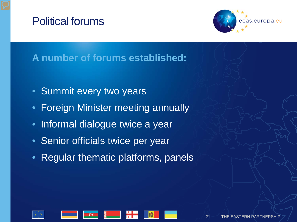### Political forums



### **A number of forums established:**

- Summit every two years
- Foreign Minister meeting annually
- Informal dialogue twice a year
- Senior officials twice per year
- Regular thematic platforms, panels

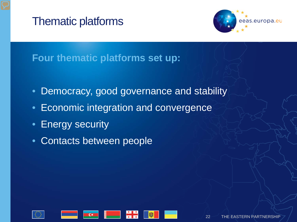### Thematic platforms



#### **Four thematic platforms set up:**

- Democracy, good governance and stability
- Economic integration and convergence
- Energy security
- Contacts between people

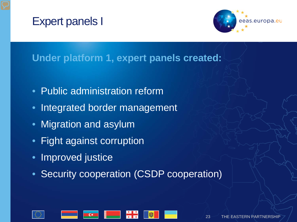### Expert panels I



#### **Under platform 1, expert panels created:**

- Public administration reform
- Integrated border management
- Migration and asylum
- Fight against corruption
- Improved justice
- Security cooperation (CSDP cooperation)

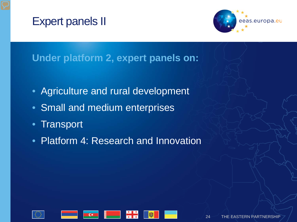### Expert panels II



#### **Under platform 2, expert panels on:**

- Agriculture and rural development
- Small and medium enterprises
- Transport
- Platform 4: Research and Innovation

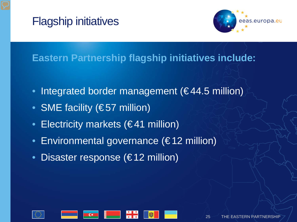



#### **Eastern Partnership flagship initiatives include:**

- Integrated border management ( $€44.5$  million)
- SME facility (€57 million)
- Electricity markets (€41 million)
- Environmental governance (€ 12 million)
- Disaster response (€12 million)

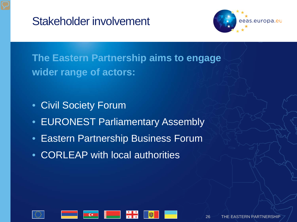



**The Eastern Partnership aims to engage wider range of actors:**

- Civil Society Forum
- EURONEST Parliamentary Assembly
- Eastern Partnership Business Forum
- CORLEAP with local authorities

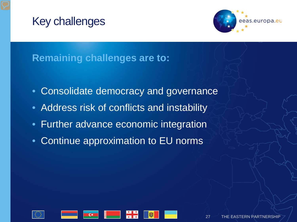### Key challenges



#### **Remaining challenges are to:**

- Consolidate democracy and governance
- Address risk of conflicts and instability
- Further advance economic integration
- Continue approximation to EU norms

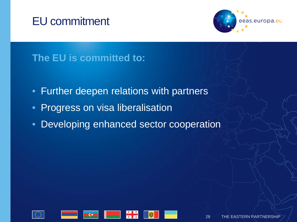### EU commitment



### **The EU is committed to:**

- Further deepen relations with partners
- **Progress on visa liberalisation**
- Developing enhanced sector cooperation

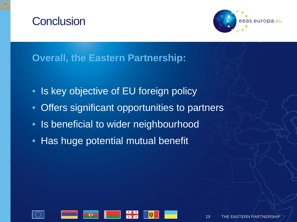### **Conclusion**



#### **Overall, the Eastern Partnership:**

- Is key objective of EU foreign policy
- Offers significant opportunities to partners
- Is beneficial to wider neighbourhood
- Has huge potential mutual benefit